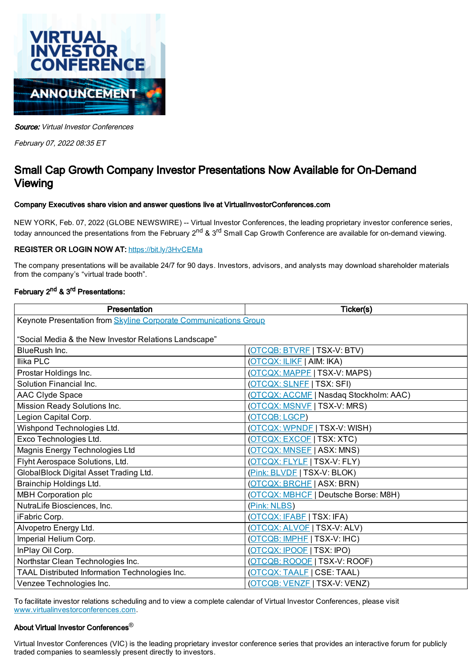

Source: Virtual Investor Conferences

February 07, 2022 08:35 ET

# Small Cap Growth Company Investor Presentations Now Available for On-Demand Viewing

#### Company Executives share vision and answer questions live at VirtualInvestorConferences.com

NEW YORK, Feb. 07, 2022 (GLOBE NEWSWIRE) -- Virtual Investor Conferences, the leading proprietary investor conference series, today announced the presentations from the February 2<sup>nd</sup> & 3<sup>rd</sup> Small Cap Growth Conference are available for on-demand viewing.

### REGISTER OR LOGIN NOW AT: [https://bit.ly/3HvCEMa](https://www.globenewswire.com/Tracker?data=v4dO3KdJMVGE-y6X5CG55ooYtQ7vdQwIbGu_VMU0gf4Xav4UCxws5P_8u46ntfoKaSxnPc2XvGhILZQhT18tNwrRYvAhh19FwtdPt0WsfLg=)

The company presentations will be available 24/7 for 90 days. Investors, advisors, and analysts may download shareholder materials from the company's "virtual trade booth".

#### February 2<sup>nd</sup> & 3<sup>rd</sup> Presentations:

| Presentation                                                     | Ticker(s)                              |
|------------------------------------------------------------------|----------------------------------------|
| Keynote Presentation from Skyline Corporate Communications Group |                                        |
|                                                                  |                                        |
| "Social Media & the New Investor Relations Landscape"            |                                        |
| BlueRush Inc.                                                    | (OTCQB: BTVRF   TSX-V: BTV)            |
| <b>Ilika PLC</b>                                                 | (OTCQX: ILIKE   AIM: IKA)              |
| Prostar Holdings Inc.                                            | (OTCQX: MAPPF   TSX-V: MAPS)           |
| Solution Financial Inc.                                          | (OTCQX: SLNFF   TSX: SFI)              |
| AAC Clyde Space                                                  | (OTCQX: ACCMF   Nasdaq Stockholm: AAC) |
| Mission Ready Solutions Inc.                                     | (OTCQX: MSNVE   TSX-V: MRS)            |
| Legion Capital Corp.                                             | (OTCQB: LGCP)                          |
| Wishpond Technologies Ltd.                                       | (OTCQX: WPNDE   TSX-V: WISH)           |
| Exco Technologies Ltd.                                           | (OTCQX: EXCOF   TSX: XTC)              |
| Magnis Energy Technologies Ltd                                   | (OTCQX: MNSEE   ASX: MNS)              |
| Flyht Aerospace Solutions, Ltd.                                  | (OTCQX: FLYLF   TSX-V: FLY)            |
| GlobalBlock Digital Asset Trading Ltd.                           | (Pink: BLVDF   TSX-V: BLOK)            |
| Brainchip Holdings Ltd.                                          | (OTCQX: BRCHE   ASX: BRN)              |
| <b>MBH Corporation plc</b>                                       | (OTCQX: MBHCF   Deutsche Borse: M8H)   |
| NutraLife Biosciences, Inc.                                      | (Pink: NLBS)                           |
| iFabric Corp.                                                    | (OTCQX: IFABE   TSX: IFA)              |
| Alvopetro Energy Ltd.                                            | (OTCQX: ALVOF   TSX-V: ALV)            |
| Imperial Helium Corp.                                            | (OTCQB: IMPHF   TSX-V: IHC)            |
| InPlay Oil Corp.                                                 | (OTCQX: IPOOE   TSX: IPO)              |
| Northstar Clean Technologies Inc.                                | (OTCQB: ROOOF   TSX-V: ROOF)           |
| TAAL Distributed Information Technologies Inc.                   | (OTCQX: TAALE   CSE: TAAL)             |
| Venzee Technologies Inc.                                         | (OTCQB: VENZE   TSX-V: VENZ)           |

To facilitate investor relations scheduling and to view a complete calendar of Virtual Investor Conferences, please visit [www.virtualinvestorconferences.com](https://www.globenewswire.com/Tracker?data=DU-X0JMaYZz3_BTEzHGyVxC2ilrkZU0EdEb1d52yIXQ_3ITvp5uvAwPeW0ycWJjkcFWqzHGLq9BvKgTZD9oqWwm6iYpQJnd7Ss_wypTaju2RZooO-_S1TM4WuExYtJNL6Y2xOsqA0MqZJ-zZ4xHi5w==).

## About Virtual Investor Conferences®

Virtual Investor Conferences (VIC) is the leading proprietary investor conference series that provides an interactive forum for publicly traded companies to seamlessly present directly to investors.